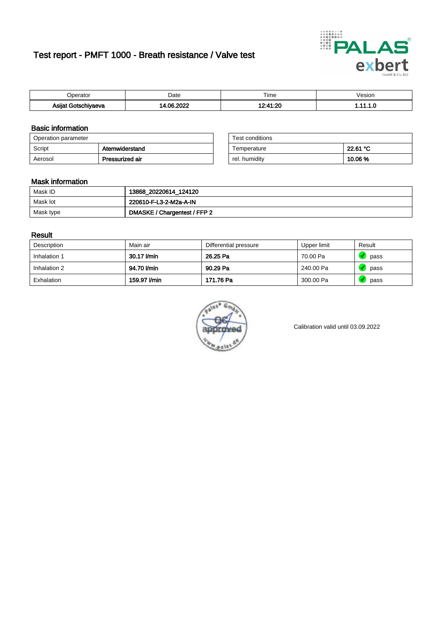# Test report - PMFT 1000 - Breath resistance / Valve test



| )perator                  | Date                 | $- \cdot$<br>Гіmе | /esion |
|---------------------------|----------------------|-------------------|--------|
| Asijat Goter '<br>hiyaeva | , nnoc<br>∍ ∩ م<br>. | 10.11.00          | .      |

### Basic information

| Operation parameter |                 | Test conditions |          |
|---------------------|-----------------|-----------------|----------|
| Script              | Atemwiderstand  | Temperature     | 22.61 °C |
| Aerosol             | Pressurized air | rel. humidity   | 10.06%   |

| Test conditions |          |
|-----------------|----------|
| Temperature     | 22.61 °C |
| rel. humidity   | 10.06%   |

### Mask information

| Mask ID   | 13868_20220614_124120        |
|-----------|------------------------------|
| Mask lot  | 220610-F-L3-2-M2a-A-IN       |
| Mask type | DMASKE / Chargentest / FFP 2 |

### Result

| Description  | Main air     | Differential pressure | Upper limit | Result |
|--------------|--------------|-----------------------|-------------|--------|
| Inhalation 1 | 30.17 l/min  | 26.25 Pa              | 70.00 Pa    | pass   |
| Inhalation 2 | 94.70 l/min  | 90.29 Pa              | 240.00 Pa   | pass   |
| Exhalation   | 159.97 l/min | 171.76 Pa             | 300.00 Pa   | pass   |



Calibration valid until 03.09.2022